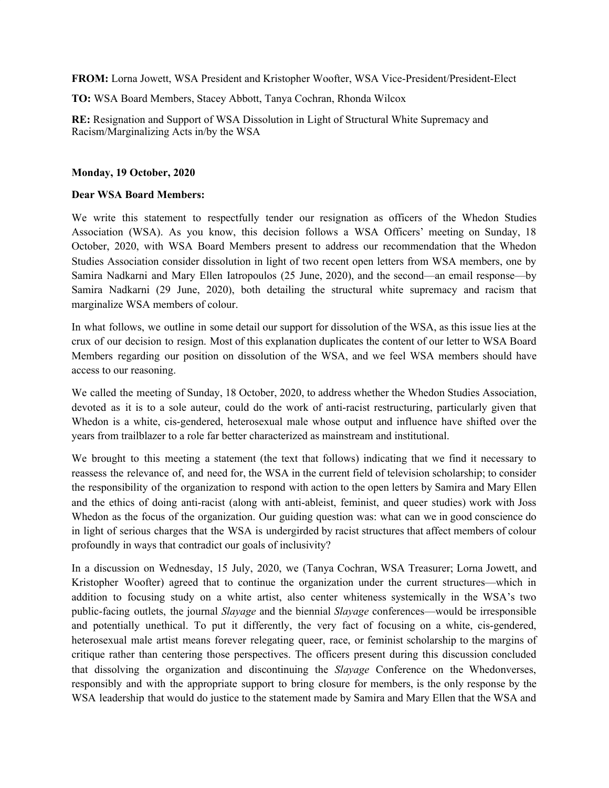**FROM:** Lorna Jowett, WSA President and Kristopher Woofter, WSA Vice-President/President-Elect

**TO:** WSA Board Members, Stacey Abbott, Tanya Cochran, Rhonda Wilcox

**RE:** Resignation and Support of WSA Dissolution in Light of Structural White Supremacy and Racism/Marginalizing Acts in/by the WSA

#### **Monday, 19 October, 2020**

#### **Dear WSA Board Members:**

We write this statement to respectfully tender our resignation as officers of the Whedon Studies Association (WSA). As you know, this decision follows a WSA Officers' meeting on Sunday, 18 October, 2020, with WSA Board Members present to address our recommendation that the Whedon Studies Association consider dissolution in light of two recent open letters from WSA members, one by Samira Nadkarni and Mary Ellen Iatropoulos (25 June, 2020), and the second—an email response—by Samira Nadkarni (29 June, 2020), both detailing the structural white supremacy and racism that marginalize WSA members of colour.

In what follows, we outline in some detail our support for dissolution of the WSA, as this issue lies at the crux of our decision to resign. Most of this explanation duplicates the content of our letter to WSA Board Members regarding our position on dissolution of the WSA, and we feel WSA members should have access to our reasoning.

We called the meeting of Sunday, 18 October, 2020, to address whether the Whedon Studies Association, devoted as it is to a sole auteur, could do the work of anti-racist restructuring, particularly given that Whedon is a white, cis-gendered, heterosexual male whose output and influence have shifted over the years from trailblazer to a role far better characterized as mainstream and institutional.

We brought to this meeting a statement (the text that follows) indicating that we find it necessary to reassess the relevance of, and need for, the WSA in the current field of television scholarship; to consider the responsibility of the organization to respond with action to the open letters by Samira and Mary Ellen and the ethics of doing anti-racist (along with anti-ableist, feminist, and queer studies) work with Joss Whedon as the focus of the organization. Our guiding question was: what can we in good conscience do in light of serious charges that the WSA is undergirded by racist structures that affect members of colour profoundly in ways that contradict our goals of inclusivity?

In a discussion on Wednesday, 15 July, 2020, we (Tanya Cochran, WSA Treasurer; Lorna Jowett, and Kristopher Woofter) agreed that to continue the organization under the current structures—which in addition to focusing study on a white artist, also center whiteness systemically in the WSA's two public-facing outlets, the journal *Slayage* and the biennial *Slayage* conferences—would be irresponsible and potentially unethical. To put it differently, the very fact of focusing on a white, cis-gendered, heterosexual male artist means forever relegating queer, race, or feminist scholarship to the margins of critique rather than centering those perspectives. The officers present during this discussion concluded that dissolving the organization and discontinuing the *Slayage* Conference on the Whedonverses, responsibly and with the appropriate support to bring closure for members, is the only response by the WSA leadership that would do justice to the statement made by Samira and Mary Ellen that the WSA and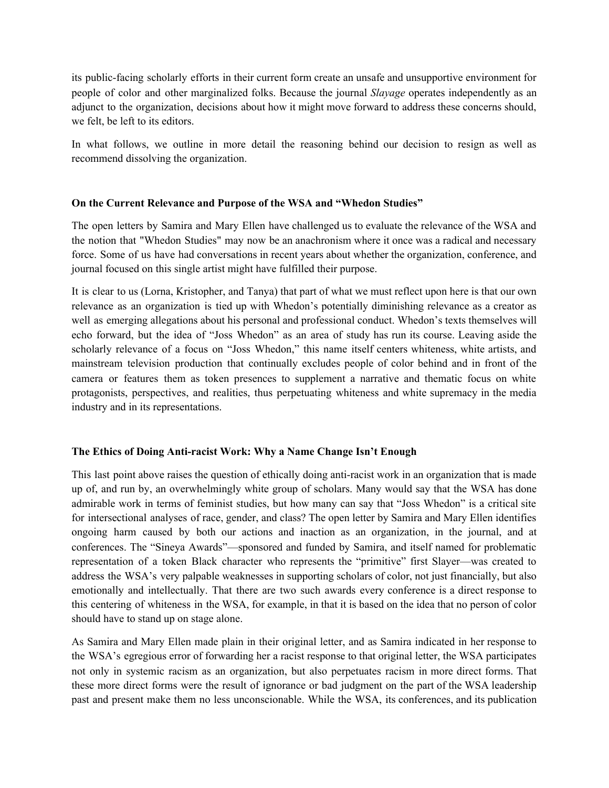its public-facing scholarly efforts in their current form create an unsafe and unsupportive environment for people of color and other marginalized folks. Because the journal *Slayage* operates independently as an adjunct to the organization, decisions about how it might move forward to address these concerns should, we felt, be left to its editors.

In what follows, we outline in more detail the reasoning behind our decision to resign as well as recommend dissolving the organization.

## **On the Current Relevance and Purpose of the WSA and "Whedon Studies"**

The open letters by Samira and Mary Ellen have challenged us to evaluate the relevance of the WSA and the notion that "Whedon Studies" may now be an anachronism where it once was a radical and necessary force. Some of us have had conversations in recent years about whether the organization, conference, and journal focused on this single artist might have fulfilled their purpose.

It is clear to us (Lorna, Kristopher, and Tanya) that part of what we must reflect upon here is that our own relevance as an organization is tied up with Whedon's potentially diminishing relevance as a creator as well as emerging allegations about his personal and professional conduct. Whedon's texts themselves will echo forward, but the idea of "Joss Whedon" as an area of study has run its course. Leaving aside the scholarly relevance of a focus on "Joss Whedon," this name itself centers whiteness, white artists, and mainstream television production that continually excludes people of color behind and in front of the camera or features them as token presences to supplement a narrative and thematic focus on white protagonists, perspectives, and realities, thus perpetuating whiteness and white supremacy in the media industry and in its representations.

# **The Ethics of Doing Anti-racist Work: Why a Name Change Isn't Enough**

This last point above raises the question of ethically doing anti-racist work in an organization that is made up of, and run by, an overwhelmingly white group of scholars. Many would say that the WSA has done admirable work in terms of feminist studies, but how many can say that "Joss Whedon" is a critical site for intersectional analyses of race, gender, and class? The open letter by Samira and Mary Ellen identifies ongoing harm caused by both our actions and inaction as an organization, in the journal, and at conferences. The "Sineya Awards"—sponsored and funded by Samira, and itself named for problematic representation of a token Black character who represents the "primitive" first Slayer—was created to address the WSA's very palpable weaknesses in supporting scholars of color, not just financially, but also emotionally and intellectually. That there are two such awards every conference is a direct response to this centering of whiteness in the WSA, for example, in that it is based on the idea that no person of color should have to stand up on stage alone.

As Samira and Mary Ellen made plain in their original letter, and as Samira indicated in her response to the WSA's egregious error of forwarding her a racist response to that original letter, the WSA participates not only in systemic racism as an organization, but also perpetuates racism in more direct forms. That these more direct forms were the result of ignorance or bad judgment on the part of the WSA leadership past and present make them no less unconscionable. While the WSA, its conferences, and its publication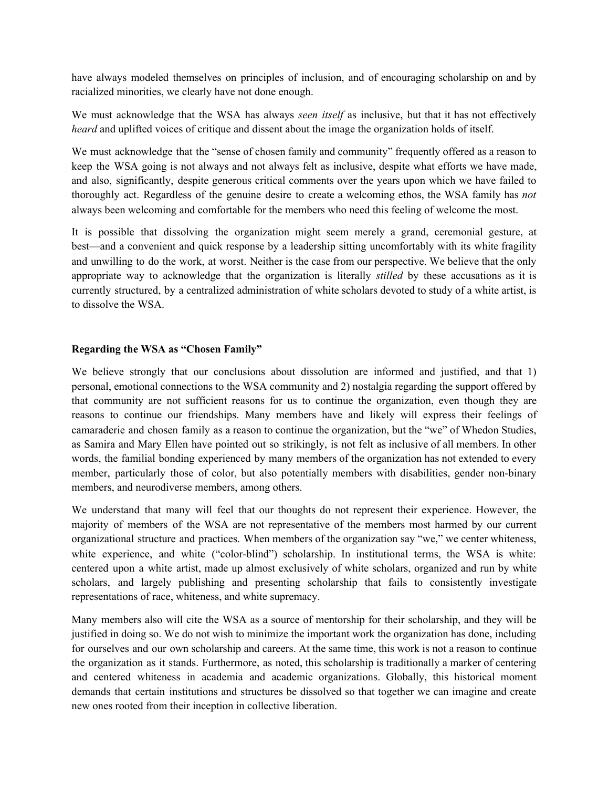have always modeled themselves on principles of inclusion, and of encouraging scholarship on and by racialized minorities, we clearly have not done enough.

We must acknowledge that the WSA has always *seen itself* as inclusive, but that it has not effectively *heard* and uplifted voices of critique and dissent about the image the organization holds of itself.

We must acknowledge that the "sense of chosen family and community" frequently offered as a reason to keep the WSA going is not always and not always felt as inclusive, despite what efforts we have made, and also, significantly, despite generous critical comments over the years upon which we have failed to thoroughly act. Regardless of the genuine desire to create a welcoming ethos, the WSA family has *not* always been welcoming and comfortable for the members who need this feeling of welcome the most.

It is possible that dissolving the organization might seem merely a grand, ceremonial gesture, at best—and a convenient and quick response by a leadership sitting uncomfortably with its white fragility and unwilling to do the work, at worst. Neither is the case from our perspective. We believe that the only appropriate way to acknowledge that the organization is literally *stilled* by these accusations as it is currently structured, by a centralized administration of white scholars devoted to study of a white artist, is to dissolve the WSA.

## **Regarding the WSA as "Chosen Family"**

We believe strongly that our conclusions about dissolution are informed and justified, and that 1) personal, emotional connections to the WSA community and 2) nostalgia regarding the support offered by that community are not sufficient reasons for us to continue the organization, even though they are reasons to continue our friendships. Many members have and likely will express their feelings of camaraderie and chosen family as a reason to continue the organization, but the "we" of Whedon Studies, as Samira and Mary Ellen have pointed out so strikingly, is not felt as inclusive of all members. In other words, the familial bonding experienced by many members of the organization has not extended to every member, particularly those of color, but also potentially members with disabilities, gender non-binary members, and neurodiverse members, among others.

We understand that many will feel that our thoughts do not represent their experience. However, the majority of members of the WSA are not representative of the members most harmed by our current organizational structure and practices. When members of the organization say "we," we center whiteness, white experience, and white ("color-blind") scholarship. In institutional terms, the WSA is white: centered upon a white artist, made up almost exclusively of white scholars, organized and run by white scholars, and largely publishing and presenting scholarship that fails to consistently investigate representations of race, whiteness, and white supremacy.

Many members also will cite the WSA as a source of mentorship for their scholarship, and they will be justified in doing so. We do not wish to minimize the important work the organization has done, including for ourselves and our own scholarship and careers. At the same time, this work is not a reason to continue the organization as it stands. Furthermore, as noted, this scholarship is traditionally a marker of centering and centered whiteness in academia and academic organizations. Globally, this historical moment demands that certain institutions and structures be dissolved so that together we can imagine and create new ones rooted from their inception in collective liberation.